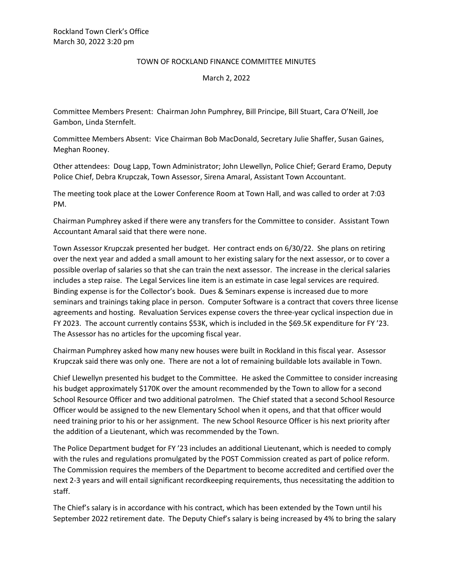## TOWN OF ROCKLAND FINANCE COMMITTEE MINUTES

## March 2, 2022

Committee Members Present: Chairman John Pumphrey, Bill Principe, Bill Stuart, Cara O'Neill, Joe Gambon, Linda Sternfelt.

Committee Members Absent: Vice Chairman Bob MacDonald, Secretary Julie Shaffer, Susan Gaines, Meghan Rooney.

Other attendees: Doug Lapp, Town Administrator; John Llewellyn, Police Chief; Gerard Eramo, Deputy Police Chief, Debra Krupczak, Town Assessor, Sirena Amaral, Assistant Town Accountant.

The meeting took place at the Lower Conference Room at Town Hall, and was called to order at 7:03 PM.

Chairman Pumphrey asked if there were any transfers for the Committee to consider. Assistant Town Accountant Amaral said that there were none.

Town Assessor Krupczak presented her budget. Her contract ends on 6/30/22. She plans on retiring over the next year and added a small amount to her existing salary for the next assessor, or to cover a possible overlap of salaries so that she can train the next assessor. The increase in the clerical salaries includes a step raise. The Legal Services line item is an estimate in case legal services are required. Binding expense is for the Collector's book. Dues & Seminars expense is increased due to more seminars and trainings taking place in person. Computer Software is a contract that covers three license agreements and hosting. Revaluation Services expense covers the three-year cyclical inspection due in FY 2023. The account currently contains \$53K, which is included in the \$69.5K expenditure for FY '23. The Assessor has no articles for the upcoming fiscal year.

Chairman Pumphrey asked how many new houses were built in Rockland in this fiscal year. Assessor Krupczak said there was only one. There are not a lot of remaining buildable lots available in Town.

Chief Llewellyn presented his budget to the Committee. He asked the Committee to consider increasing his budget approximately \$170K over the amount recommended by the Town to allow for a second School Resource Officer and two additional patrolmen. The Chief stated that a second School Resource Officer would be assigned to the new Elementary School when it opens, and that that officer would need training prior to his or her assignment. The new School Resource Officer is his next priority after the addition of a Lieutenant, which was recommended by the Town.

The Police Department budget for FY '23 includes an additional Lieutenant, which is needed to comply with the rules and regulations promulgated by the POST Commission created as part of police reform. The Commission requires the members of the Department to become accredited and certified over the next 2-3 years and will entail significant recordkeeping requirements, thus necessitating the addition to staff.

The Chief's salary is in accordance with his contract, which has been extended by the Town until his September 2022 retirement date. The Deputy Chief's salary is being increased by 4% to bring the salary